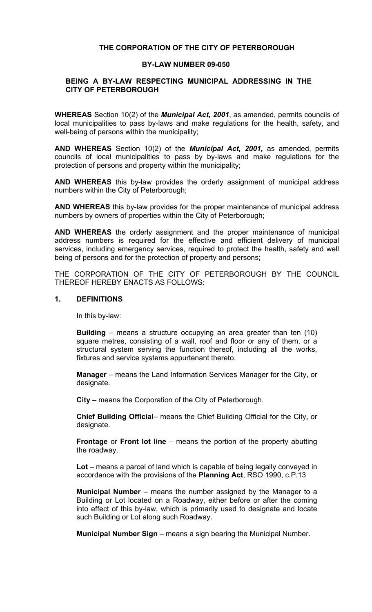# **THE CORPORATION OF THE CITY OF PETERBOROUGH**

#### **BY-LAW NUMBER 09-050**

### **BEING A BY-LAW RESPECTING MUNICIPAL ADDRESSING IN THE CITY OF PETERBOROUGH**

**WHEREAS** Section 10(2) of the *Municipal Act, 2001*, as amended, permits councils of local municipalities to pass by-laws and make regulations for the health, safety, and well-being of persons within the municipality;

**AND WHEREAS** Section 10(2) of the *Municipal Act, 2001,* as amended, permits councils of local municipalities to pass by by-laws and make regulations for the protection of persons and property within the municipality;

**AND WHEREAS** this by-law provides the orderly assignment of municipal address numbers within the City of Peterborough;

**AND WHEREAS** this by-law provides for the proper maintenance of municipal address numbers by owners of properties within the City of Peterborough;

**AND WHEREAS** the orderly assignment and the proper maintenance of municipal address numbers is required for the effective and efficient delivery of municipal services, including emergency services, required to protect the health, safety and well being of persons and for the protection of property and persons;

THE CORPORATION OF THE CITY OF PETERBOROUGH BY THE COUNCIL THEREOF HEREBY ENACTS AS FOLLOWS:

### **1. DEFINITIONS**

In this by-law:

**Building** – means a structure occupying an area greater than ten (10) square metres, consisting of a wall, roof and floor or any of them, or a structural system serving the function thereof, including all the works, fixtures and service systems appurtenant thereto.

**Manager** – means the Land Information Services Manager for the City, or designate.

**City** – means the Corporation of the City of Peterborough.

**Chief Building Official**– means the Chief Building Official for the City, or designate.

**Frontage** or **Front lot line** – means the portion of the property abutting the roadway.

**Lot** – means a parcel of land which is capable of being legally conveyed in accordance with the provisions of the **Planning Act**, RSO 1990, c.P.13

**Municipal Number** – means the number assigned by the Manager to a Building or Lot located on a Roadway, either before or after the coming into effect of this by-law, which is primarily used to designate and locate such Building or Lot along such Roadway.

**Municipal Number Sign** – means a sign bearing the Municipal Number.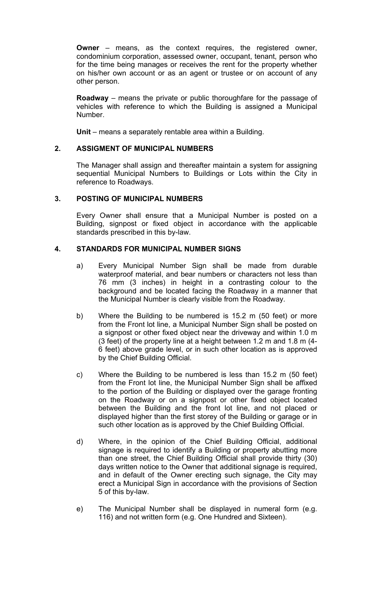**Owner** – means, as the context requires, the registered owner, condominium corporation, assessed owner, occupant, tenant, person who for the time being manages or receives the rent for the property whether on his/her own account or as an agent or trustee or on account of any other person.

**Roadway** – means the private or public thoroughfare for the passage of vehicles with reference to which the Building is assigned a Municipal Number.

**Unit** – means a separately rentable area within a Building.

# **2. ASSIGMENT OF MUNICIPAL NUMBERS**

The Manager shall assign and thereafter maintain a system for assigning sequential Municipal Numbers to Buildings or Lots within the City in reference to Roadways.

# **3. POSTING OF MUNICIPAL NUMBERS**

Every Owner shall ensure that a Municipal Number is posted on a Building, signpost or fixed object in accordance with the applicable standards prescribed in this by-law.

## **4. STANDARDS FOR MUNICIPAL NUMBER SIGNS**

- a) Every Municipal Number Sign shall be made from durable waterproof material, and bear numbers or characters not less than 76 mm (3 inches) in height in a contrasting colour to the background and be located facing the Roadway in a manner that the Municipal Number is clearly visible from the Roadway.
- b) Where the Building to be numbered is 15.2 m (50 feet) or more from the Front lot line, a Municipal Number Sign shall be posted on a signpost or other fixed object near the driveway and within 1.0 m (3 feet) of the property line at a height between 1.2 m and 1.8 m (4- 6 feet) above grade level, or in such other location as is approved by the Chief Building Official.
- c) Where the Building to be numbered is less than 15.2 m (50 feet) from the Front lot line, the Municipal Number Sign shall be affixed to the portion of the Building or displayed over the garage fronting on the Roadway or on a signpost or other fixed object located between the Building and the front lot line, and not placed or displayed higher than the first storey of the Building or garage or in such other location as is approved by the Chief Building Official.
- d) Where, in the opinion of the Chief Building Official, additional signage is required to identify a Building or property abutting more than one street, the Chief Building Official shall provide thirty (30) days written notice to the Owner that additional signage is required, and in default of the Owner erecting such signage, the City may erect a Municipal Sign in accordance with the provisions of Section 5 of this by-law.
- e) The Municipal Number shall be displayed in numeral form (e.g. 116) and not written form (e.g. One Hundred and Sixteen).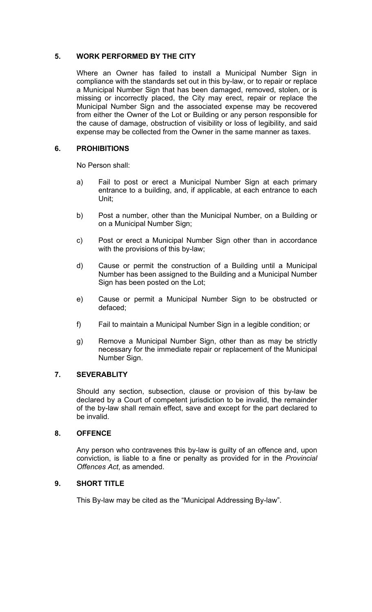# **5. WORK PERFORMED BY THE CITY**

Where an Owner has failed to install a Municipal Number Sign in compliance with the standards set out in this by-law, or to repair or replace a Municipal Number Sign that has been damaged, removed, stolen, or is missing or incorrectly placed, the City may erect, repair or replace the Municipal Number Sign and the associated expense may be recovered from either the Owner of the Lot or Building or any person responsible for the cause of damage, obstruction of visibility or loss of legibility, and said expense may be collected from the Owner in the same manner as taxes.

### **6. PROHIBITIONS**

No Person shall:

- a) Fail to post or erect a Municipal Number Sign at each primary entrance to a building, and, if applicable, at each entrance to each Unit;
- b) Post a number, other than the Municipal Number, on a Building or on a Municipal Number Sign;
- c) Post or erect a Municipal Number Sign other than in accordance with the provisions of this by-law;
- d) Cause or permit the construction of a Building until a Municipal Number has been assigned to the Building and a Municipal Number Sign has been posted on the Lot;
- e) Cause or permit a Municipal Number Sign to be obstructed or defaced;
- f) Fail to maintain a Municipal Number Sign in a legible condition; or
- g) Remove a Municipal Number Sign, other than as may be strictly necessary for the immediate repair or replacement of the Municipal Number Sign.

### **7. SEVERABLITY**

Should any section, subsection, clause or provision of this by-law be declared by a Court of competent jurisdiction to be invalid, the remainder of the by-law shall remain effect, save and except for the part declared to be invalid.

### **8. OFFENCE**

Any person who contravenes this by-law is guilty of an offence and, upon conviction, is liable to a fine or penalty as provided for in the *Provincial Offences Act*, as amended.

### **9. SHORT TITLE**

This By-law may be cited as the "Municipal Addressing By-law".